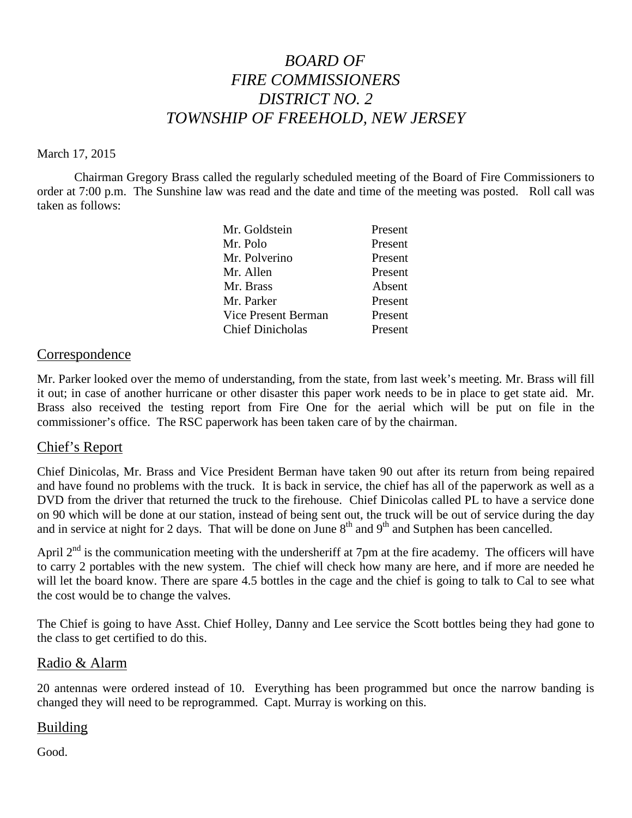# *BOARD OF FIRE COMMISSIONERS DISTRICT NO. 2 TOWNSHIP OF FREEHOLD, NEW JERSEY*

#### March 17, 2015

Chairman Gregory Brass called the regularly scheduled meeting of the Board of Fire Commissioners to order at 7:00 p.m. The Sunshine law was read and the date and time of the meeting was posted. Roll call was taken as follows:

| Mr. Goldstein           | Present |
|-------------------------|---------|
| Mr. Polo                | Present |
| Mr. Polverino           | Present |
| Mr. Allen               | Present |
| Mr. Brass               | Absent  |
| Mr. Parker              | Present |
| Vice Present Berman     | Present |
| <b>Chief Dinicholas</b> | Present |

#### **Correspondence**

Mr. Parker looked over the memo of understanding, from the state, from last week's meeting. Mr. Brass will fill it out; in case of another hurricane or other disaster this paper work needs to be in place to get state aid. Mr. Brass also received the testing report from Fire One for the aerial which will be put on file in the commissioner's office. The RSC paperwork has been taken care of by the chairman.

#### Chief's Report

Chief Dinicolas, Mr. Brass and Vice President Berman have taken 90 outafter its return from being repaired and have found no problems with the truck. It is back in service, the chief has all of the paperwork as well as a DVD from the driver that returned the truck to the firehouse. Chief Dinicolas called PL to have a service done on 90 which will be done at our station, instead of being sent out, the truck will be out of service during the day and in service at night for 2 days. That will be done on June  $8<sup>th</sup>$  and  $9<sup>th</sup>$  and Sutphen has been cancelled.

April  $2<sup>nd</sup>$  is the communication meeting with the undersheriff at 7pm at the fire academy. The officers will have to carry 2 portables with the new system. The chief will check how many are here, and if more are needed he will let the board know. There are spare 4.5 bottles in the cage and the chief is going to talk to Cal to see what the cost would be to change the valves.

The Chief is going to have Asst. Chief Holley, Danny and Lee service the Scott bottles being they had gone to the class to get certified to do this.

#### Radio & Alarm

20 antennas were ordered instead of 10. Everything has been programmed but once the narrow banding is changed they will need to be reprogrammed. Capt. Murray is working on this.

#### Building

Good.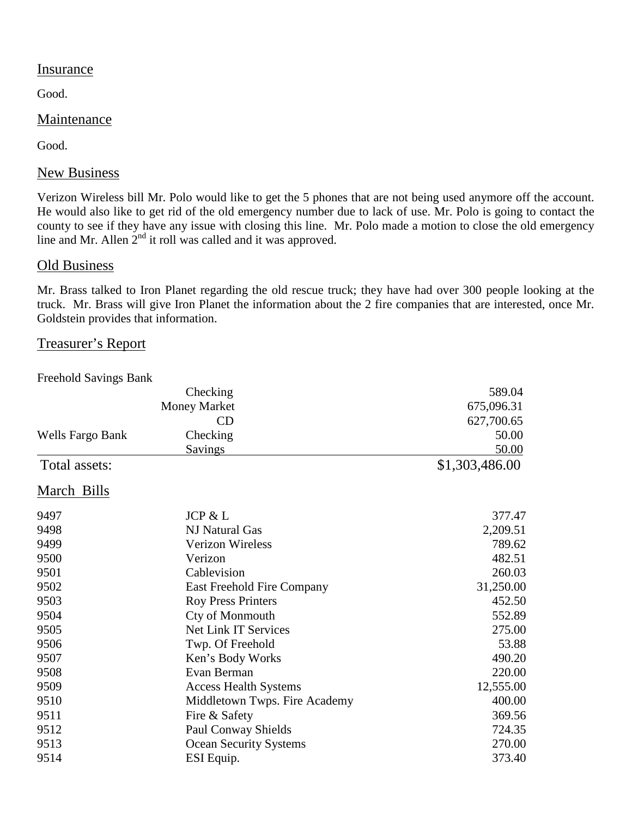#### **Insurance**

Good.

### Maintenance

Good.

## New Business

Verizon Wireless bill Mr. Polo would like to get the 5 phones that are not being used anymore off the account. He would also like to get rid of the old emergency number due to lack of use. Mr. Polo is going to contact the county to see if they have any issue with closing this line. Mr. Polo made a motion to close the old emergency line and Mr. Allen  $2<sup>nd</sup>$  it roll was called and it was approved.

### Old Business

Mr. Brass talked to Iron Planet regarding the old rescue truck; they have had over 300 people looking at the truck. Mr. Brass will give Iron Planet the information about the 2 fire companies that are interested, once Mr. Goldstein provides that information.

## Treasurer's Report

Freehold Savings Bank

|                         | Checking                      | 589.04         |
|-------------------------|-------------------------------|----------------|
|                         | <b>Money Market</b>           | 675,096.31     |
|                         | CD                            | 627,700.65     |
| <b>Wells Fargo Bank</b> | Checking                      | 50.00          |
|                         | <b>Savings</b>                | 50.00          |
| Total assets:           |                               | \$1,303,486.00 |
| March Bills             |                               |                |
| 9497                    | <b>JCP &amp; L</b>            | 377.47         |
| 9498                    | NJ Natural Gas                | 2,209.51       |
| 9499                    | <b>Verizon Wireless</b>       | 789.62         |
| 9500                    | Verizon                       | 482.51         |
| 9501                    | Cablevision                   | 260.03         |
| 9502                    | East Freehold Fire Company    | 31,250.00      |
| 9503                    | <b>Roy Press Printers</b>     | 452.50         |
| 9504                    | Cty of Monmouth               | 552.89         |
| 9505                    | Net Link IT Services          | 275.00         |
| 9506                    | Twp. Of Freehold              | 53.88          |
| 9507                    | Ken's Body Works              | 490.20         |
| 9508                    | Evan Berman                   | 220.00         |
| 9509                    | <b>Access Health Systems</b>  | 12,555.00      |
| 9510                    | Middletown Twps. Fire Academy | 400.00         |
| 9511                    | Fire & Safety                 | 369.56         |
| 9512                    | <b>Paul Conway Shields</b>    | 724.35         |
| 9513                    | <b>Ocean Security Systems</b> | 270.00         |
| 9514                    | ESI Equip.                    | 373.40         |